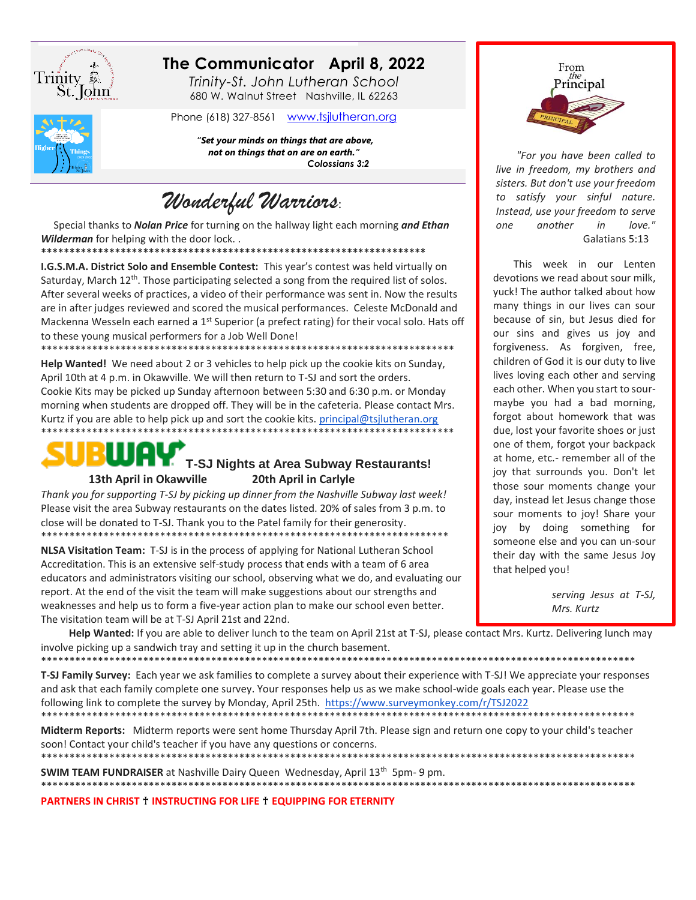

# The Communicator April 8, 2022

Trinity-St. John Lutheran School 680 W. Walnut Street Nashville, IL 62263

Phone (618) 327-8561 www.tsjlutheran.org

"Set your minds on things that are above, not on things that on are on earth." Colossians 3:2

Wonderful Warriors:

Special thanks to Nolan Price for turning on the hallway light each morning and Ethan Wilderman for helping with the door lock..

\*\*\*\*\*\*\*\*\*\*\*\*\*\*\*\*\*\*\*\*\*\* 

I.G.S.M.A. District Solo and Ensemble Contest: This year's contest was held virtually on Saturday, March 12<sup>th</sup>. Those participating selected a song from the required list of solos. After several weeks of practices, a video of their performance was sent in. Now the results are in after judges reviewed and scored the musical performances. Celeste McDonald and Mackenna Wesseln each earned a 1<sup>st</sup> Superior (a prefect rating) for their vocal solo. Hats off to these young musical performers for a Job Well Done!

Help Wanted! We need about 2 or 3 vehicles to help pick up the cookie kits on Sunday, April 10th at 4 p.m. in Okawville. We will then return to T-SJ and sort the orders. Cookie Kits may be picked up Sunday afternoon between 5:30 and 6:30 p.m. or Monday morning when students are dropped off. They will be in the cafeteria. Please contact Mrs. Kurtz if you are able to help pick up and sort the cookie kits. principal@tsjlutheran.org 



#### **T-SJ Nights at Area Subway Restaurants!** 20th April in Carlyle 13th April in Okawville

Thank you for supporting T-SJ by picking up dinner from the Nashville Subway last week! Please visit the area Subway restaurants on the dates listed. 20% of sales from 3 p.m. to close will be donated to T-SJ. Thank you to the Patel family for their generosity. 

NLSA Visitation Team: T-SJ is in the process of applying for National Lutheran School Accreditation. This is an extensive self-study process that ends with a team of 6 area educators and administrators visiting our school, observing what we do, and evaluating our report. At the end of the visit the team will make suggestions about our strengths and weaknesses and help us to form a five-year action plan to make our school even better. The visitation team will be at T-SJ April 21st and 22nd.

that helped you! serving Jesus at T-SJ,

Mrs. Kurtz

Help Wanted: If you are able to deliver lunch to the team on April 21st at T-SJ, please contact Mrs. Kurtz. Delivering lunch may involve picking up a sandwich tray and setting it up in the church basement. 

T-SJ Family Survey: Each year we ask families to complete a survey about their experience with T-SJ! We appreciate your responses and ask that each family complete one survey. Your responses help us as we make school-wide goals each year. Please use the following link to complete the survey by Monday, April 25th. https://www.surveymonkey.com/r/TSJ2022 

Midterm Reports: Midterm reports were sent home Thursday April 7th. Please sign and return one copy to your child's teacher soon! Contact your child's teacher if you have any questions or concerns. 

**SWIM TEAM FUNDRAISER** at Nashville Dairy Queen Wednesday, April 13<sup>th</sup> 5pm-9 pm. \*\*\*\*\*\*\*\*\*\*\*\*\*\*\*\*\*\*\*\*\*\*\*\*\*\*\*\*\*\*\*\*\*\*\*\*\*

PARTNERS IN CHRIST + INSTRUCTING FOR LIFE + EQUIPPING FOR ETERNITY



"For you have been called to live in freedom, my brothers and sisters. But don't use your freedom to satisfy your sinful nature. Instead, use your freedom to serve one another in love." Galatians 5:13

This week in our Lenten devotions we read about sour milk. yuck! The author talked about how many things in our lives can sour because of sin, but Jesus died for our sins and gives us joy and forgiveness. As forgiven, free, children of God it is our duty to live lives loving each other and serving each other. When you start to sourmaybe you had a bad morning, forgot about homework that was due, lost your favorite shoes or just one of them, forgot your backpack at home, etc.- remember all of the joy that surrounds you. Don't let those sour moments change your day, instead let Jesus change those sour moments to joy! Share your joy by doing something for someone else and you can un-sour their day with the same Jesus Joy